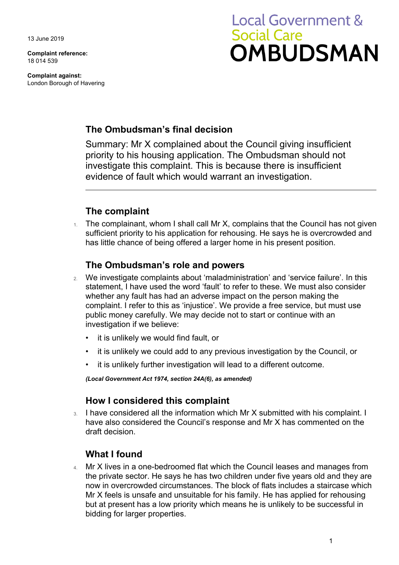13 June 2019

**Complaint reference:**  18 014 539

**Complaint against:**  London Borough of Havering

# **Local Government & Social Care OMBUDSMAN**

### **The Ombudsman's final decision**

Summary: Mr X complained about the Council giving insufficient priority to his housing application. The Ombudsman should not investigate this complaint. This is because there is insufficient evidence of fault which would warrant an investigation.

## **The complaint**

The complainant, whom I shall call Mr X, complains that the Council has not given sufficient priority to his application for rehousing. He says he is overcrowded and has little chance of being offered a larger home in his present position.

#### **The Ombudsman's role and powers**

- 2. We investigate complaints about 'maladministration' and 'service failure'. In this statement, I have used the word 'fault' to refer to these. We must also consider whether any fault has had an adverse impact on the person making the complaint. I refer to this as 'injustice'. We provide a free service, but must use public money carefully. We may decide not to start or continue with an investigation if we believe:
	- it is unlikely we would find fault, or
	- it is unlikely we could add to any previous investigation by the Council, or
	- it is unlikely further investigation will lead to a different outcome.

*(Local Government Act 1974, section 24A(6), as amended)* 

#### **How I considered this complaint**

3. I have considered all the information which Mr X submitted with his complaint. I have also considered the Council's response and Mr X has commented on the draft decision.

## **What I found**

 the private sector. He says he has two children under five years old and they are 4. Mr X lives in a one-bedroomed flat which the Council leases and manages from now in overcrowded circumstances. The block of flats includes a staircase which Mr X feels is unsafe and unsuitable for his family. He has applied for rehousing but at present has a low priority which means he is unlikely to be successful in bidding for larger properties.